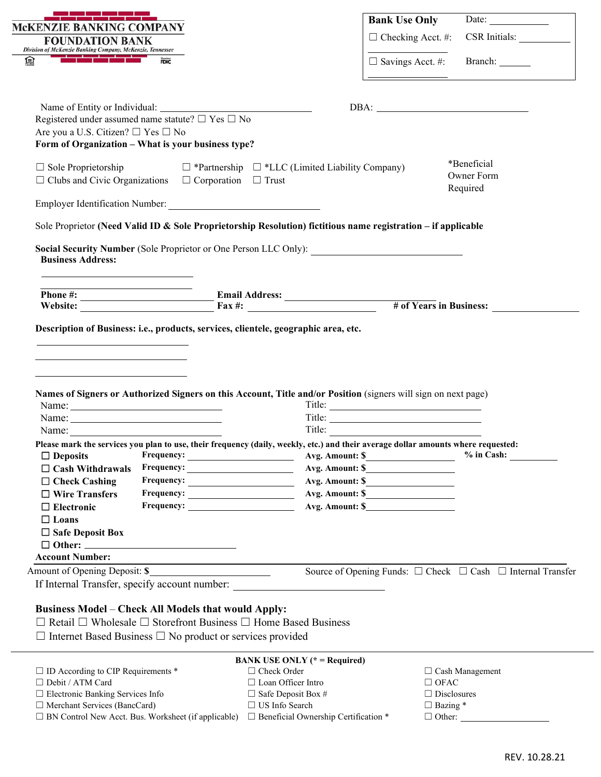| <b>Bank Use Only</b><br><b>MCKENZIE BANKING COMPANY</b><br>$\Box$ Checking Acct. #:<br><b>FOUNDATION BANK</b><br>Division of McKenzie Banking Company, McKenzie, Tennessee<br>$\Box$ Savings Acct. #: Branch: ________<br>舃<br><b>FDIC</b><br>$DBA: \begin{tabular}{ c c c c } \hline \multicolumn{3}{ c }{\textbf{DBA}}: & \multicolumn{3}{ c }{\textbf{DBA}}: & \multicolumn{3}{ c }{\textbf{DBA}}: & \multicolumn{3}{ c }{\textbf{DBA}}: & \multicolumn{3}{ c }{\textbf{DBA}}: & \multicolumn{3}{ c }{\textbf{DBA}}: & \multicolumn{3}{ c }{\textbf{DBA}}: & \multicolumn{3}{ c }{\textbf{DBA}}: & \multicolumn{3}{ c }{\textbf{DBA}}: & \multicolumn{3}{ c }{\textbf{DBA}}$<br>Registered under assumed name statute? $\Box$ Yes $\Box$ No<br>Are you a U.S. Citizen? □ Yes □ No<br>Form of Organization - What is your business type?<br>*Beneficial<br>$\Box$ Sole Proprietorship<br>$\Box$ *Partnership $\Box$ *LLC (Limited Liability Company)<br>Owner Form | Date: $\qquad \qquad$<br>CSR Initials: |
|----------------------------------------------------------------------------------------------------------------------------------------------------------------------------------------------------------------------------------------------------------------------------------------------------------------------------------------------------------------------------------------------------------------------------------------------------------------------------------------------------------------------------------------------------------------------------------------------------------------------------------------------------------------------------------------------------------------------------------------------------------------------------------------------------------------------------------------------------------------------------------------------------------------------------------------------------------------------|----------------------------------------|
|                                                                                                                                                                                                                                                                                                                                                                                                                                                                                                                                                                                                                                                                                                                                                                                                                                                                                                                                                                      |                                        |
|                                                                                                                                                                                                                                                                                                                                                                                                                                                                                                                                                                                                                                                                                                                                                                                                                                                                                                                                                                      |                                        |
|                                                                                                                                                                                                                                                                                                                                                                                                                                                                                                                                                                                                                                                                                                                                                                                                                                                                                                                                                                      |                                        |
|                                                                                                                                                                                                                                                                                                                                                                                                                                                                                                                                                                                                                                                                                                                                                                                                                                                                                                                                                                      |                                        |
|                                                                                                                                                                                                                                                                                                                                                                                                                                                                                                                                                                                                                                                                                                                                                                                                                                                                                                                                                                      |                                        |
|                                                                                                                                                                                                                                                                                                                                                                                                                                                                                                                                                                                                                                                                                                                                                                                                                                                                                                                                                                      |                                        |
| $\Box$ Clubs and Civic Organizations $\Box$ Corporation $\Box$ Trust<br>Required                                                                                                                                                                                                                                                                                                                                                                                                                                                                                                                                                                                                                                                                                                                                                                                                                                                                                     |                                        |
| Employer Identification Number:                                                                                                                                                                                                                                                                                                                                                                                                                                                                                                                                                                                                                                                                                                                                                                                                                                                                                                                                      |                                        |
| Sole Proprietor (Need Valid ID & Sole Proprietorship Resolution) fictitious name registration – if applicable                                                                                                                                                                                                                                                                                                                                                                                                                                                                                                                                                                                                                                                                                                                                                                                                                                                        |                                        |
| Social Security Number (Sole Proprietor or One Person LLC Only):                                                                                                                                                                                                                                                                                                                                                                                                                                                                                                                                                                                                                                                                                                                                                                                                                                                                                                     |                                        |
| <b>Business Address:</b><br><u> 1989 - Johann Stein, mars an deus Amerikaansk kommunister (</u>                                                                                                                                                                                                                                                                                                                                                                                                                                                                                                                                                                                                                                                                                                                                                                                                                                                                      |                                        |
|                                                                                                                                                                                                                                                                                                                                                                                                                                                                                                                                                                                                                                                                                                                                                                                                                                                                                                                                                                      |                                        |
| # of Years in Business:                                                                                                                                                                                                                                                                                                                                                                                                                                                                                                                                                                                                                                                                                                                                                                                                                                                                                                                                              |                                        |
| Names of Signers or Authorized Signers on this Account, Title and/or Position (signers will sign on next page)                                                                                                                                                                                                                                                                                                                                                                                                                                                                                                                                                                                                                                                                                                                                                                                                                                                       |                                        |
|                                                                                                                                                                                                                                                                                                                                                                                                                                                                                                                                                                                                                                                                                                                                                                                                                                                                                                                                                                      |                                        |
|                                                                                                                                                                                                                                                                                                                                                                                                                                                                                                                                                                                                                                                                                                                                                                                                                                                                                                                                                                      |                                        |
| Name: $\frac{1}{\sqrt{1-\frac{1}{2}} \cdot \frac{1}{2}}$                                                                                                                                                                                                                                                                                                                                                                                                                                                                                                                                                                                                                                                                                                                                                                                                                                                                                                             |                                        |
|                                                                                                                                                                                                                                                                                                                                                                                                                                                                                                                                                                                                                                                                                                                                                                                                                                                                                                                                                                      |                                        |
| Avg. Amount: \$<br>$\Box$ Deposits                                                                                                                                                                                                                                                                                                                                                                                                                                                                                                                                                                                                                                                                                                                                                                                                                                                                                                                                   |                                        |
| $Frequency: \begin{tabular}{c} \hspace*{2.5cm} \textcolor{red}{\textbf{Frequency:}} \hspace*{2.5cm} \textcolor{red}{\textbf{3.1}} \end{tabular}$<br>$\Box$ Cash Withdrawals                                                                                                                                                                                                                                                                                                                                                                                                                                                                                                                                                                                                                                                                                                                                                                                          |                                        |
| $\Box$ Check Cashing<br>$\Box$ Wire Transfers                                                                                                                                                                                                                                                                                                                                                                                                                                                                                                                                                                                                                                                                                                                                                                                                                                                                                                                        |                                        |
| Avg. Amount: \$<br>$\Box$ Electronic                                                                                                                                                                                                                                                                                                                                                                                                                                                                                                                                                                                                                                                                                                                                                                                                                                                                                                                                 | $%$ in Cash:                           |
| Please mark the services you plan to use, their frequency (daily, weekly, etc.) and their average dollar amounts where requested:<br>$\Box$ Loans                                                                                                                                                                                                                                                                                                                                                                                                                                                                                                                                                                                                                                                                                                                                                                                                                    |                                        |
| $\Box$ Safe Deposit Box                                                                                                                                                                                                                                                                                                                                                                                                                                                                                                                                                                                                                                                                                                                                                                                                                                                                                                                                              |                                        |
|                                                                                                                                                                                                                                                                                                                                                                                                                                                                                                                                                                                                                                                                                                                                                                                                                                                                                                                                                                      |                                        |
| <b>Account Number:</b><br><u> 1989 - Johann Barn, amerikansk politiker (</u><br>Amount of Opening Deposit: \$<br>Source of Opening Funds: □ Check □ Cash □ Internal Transfer                                                                                                                                                                                                                                                                                                                                                                                                                                                                                                                                                                                                                                                                                                                                                                                         |                                        |